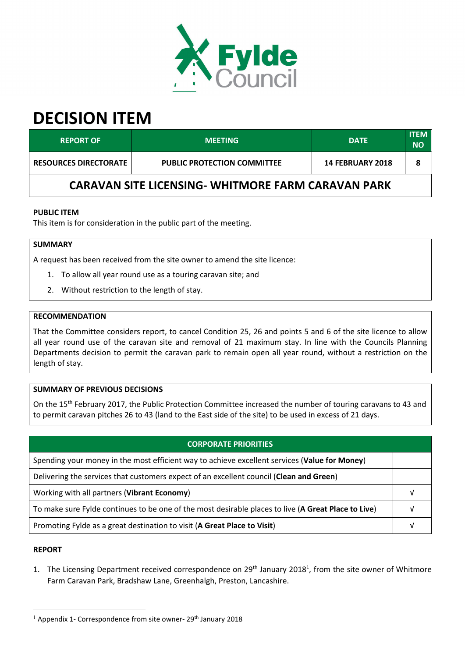

# **DECISION ITEM**

| <b>REPORT OF</b>                                          | <b>MEETING</b>                     | <b>DATE</b>             | <b>ITEM</b><br>NΟ |  |
|-----------------------------------------------------------|------------------------------------|-------------------------|-------------------|--|
| <b>RESOURCES DIRECTORATE</b>                              | <b>PUBLIC PROTECTION COMMITTEE</b> | <b>14 FEBRUARY 2018</b> | 8                 |  |
| <b>CARAVAN SITE LICENSING- WHITMORE FARM CARAVAN PARK</b> |                                    |                         |                   |  |

## **PUBLIC ITEM**

This item is for consideration in the public part of the meeting.

# **SUMMARY**

A request has been received from the site owner to amend the site licence:

- 1. To allow all year round use as a touring caravan site; and
- 2. Without restriction to the length of stay.

#### **RECOMMENDATION**

That the Committee considers report, to cancel Condition 25, 26 and points 5 and 6 of the site licence to allow all year round use of the caravan site and removal of 21 maximum stay. In line with the Councils Planning Departments decision to permit the caravan park to remain open all year round, without a restriction on the length of stay.

### **SUMMARY OF PREVIOUS DECISIONS**

On the 15<sup>th</sup> February 2017, the Public Protection Committee increased the number of touring caravans to 43 and to permit caravan pitches 26 to 43 (land to the East side of the site) to be used in excess of 21 days.

| <b>CORPORATE PRIORITIES</b>                                                                         |  |
|-----------------------------------------------------------------------------------------------------|--|
| Spending your money in the most efficient way to achieve excellent services (Value for Money)       |  |
| Delivering the services that customers expect of an excellent council (Clean and Green)             |  |
| Working with all partners (Vibrant Economy)                                                         |  |
| To make sure Fylde continues to be one of the most desirable places to live (A Great Place to Live) |  |
| Promoting Fylde as a great destination to visit (A Great Place to Visit)                            |  |
|                                                                                                     |  |

#### **REPORT**

 $\overline{a}$ 

1. The Licensing Department received correspondence on 29<sup>th</sup> January 2018<sup>1</sup>, from the site owner of Whitmore Farm Caravan Park, Bradshaw Lane, Greenhalgh, Preston, Lancashire.

 $1$  Appendix 1- Correspondence from site owner- 29<sup>th</sup> January 2018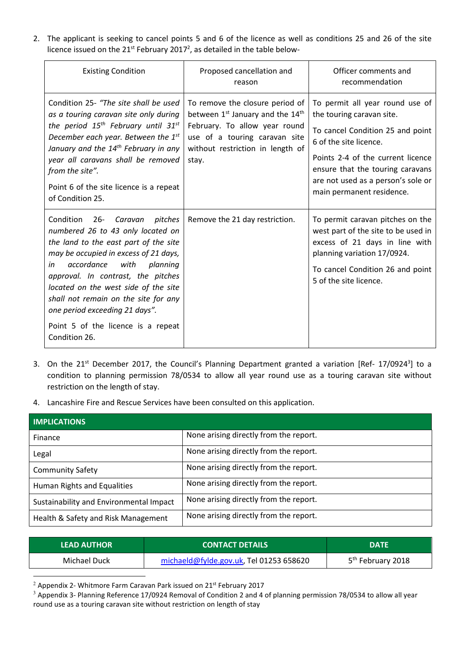2. The applicant is seeking to cancel points 5 and 6 of the licence as well as conditions 25 and 26 of the site licence issued on the  $21^{st}$  February 2017<sup>2</sup>, as detailed in the table below-

| <b>Existing Condition</b>                                                                                                                                                                                                                                                                                                                                                                                               | Proposed cancellation and<br>reason                                                                                                                                                                        | Officer comments and<br>recommendation                                                                                                                                                                                                    |
|-------------------------------------------------------------------------------------------------------------------------------------------------------------------------------------------------------------------------------------------------------------------------------------------------------------------------------------------------------------------------------------------------------------------------|------------------------------------------------------------------------------------------------------------------------------------------------------------------------------------------------------------|-------------------------------------------------------------------------------------------------------------------------------------------------------------------------------------------------------------------------------------------|
| Condition 25- "The site shall be used<br>as a touring caravan site only during<br>the period $15^{th}$ February until $31^{st}$<br>December each year. Between the 1st<br>January and the 14 <sup>th</sup> February in any<br>year all caravans shall be removed<br>from the site".<br>Point 6 of the site licence is a repeat                                                                                          | To remove the closure period of<br>between 1 <sup>st</sup> January and the 14 <sup>th</sup><br>February. To allow year round<br>use of a touring caravan site<br>without restriction in length of<br>stay. | To permit all year round use of<br>the touring caravan site.<br>To cancel Condition 25 and point<br>6 of the site licence.<br>Points 2-4 of the current licence<br>ensure that the touring caravans<br>are not used as a person's sole or |
| of Condition 25.                                                                                                                                                                                                                                                                                                                                                                                                        |                                                                                                                                                                                                            | main permanent residence.                                                                                                                                                                                                                 |
| Condition<br>$26 -$<br>pitches<br>Caravan<br>numbered 26 to 43 only located on<br>the land to the east part of the site<br>may be occupied in excess of 21 days,<br>accordance<br>with<br>in<br>planning<br>approval. In contrast, the pitches<br>located on the west side of the site<br>shall not remain on the site for any<br>one period exceeding 21 days".<br>Point 5 of the licence is a repeat<br>Condition 26. | Remove the 21 day restriction.                                                                                                                                                                             | To permit caravan pitches on the<br>west part of the site to be used in<br>excess of 21 days in line with<br>planning variation 17/0924.<br>To cancel Condition 26 and point<br>5 of the site licence.                                    |

- 3. On the 21<sup>st</sup> December 2017, the Council's Planning Department granted a variation [Ref- 17/0924<sup>3</sup>] to a condition to planning permission 78/0534 to allow all year round use as a touring caravan site without restriction on the length of stay.
- 4. Lancashire Fire and Rescue Services have been consulted on this application.

| <b>IMPLICATIONS</b>                     |                                        |  |
|-----------------------------------------|----------------------------------------|--|
| Finance                                 | None arising directly from the report. |  |
| Legal                                   | None arising directly from the report. |  |
| <b>Community Safety</b>                 | None arising directly from the report. |  |
| Human Rights and Equalities             | None arising directly from the report. |  |
| Sustainability and Environmental Impact | None arising directly from the report. |  |
| Health & Safety and Risk Management     | None arising directly from the report. |  |

| <b>LEAD AUTHOR</b> | <b>CONTACT DETAILS</b>                  | <b>DATE</b>                   |
|--------------------|-----------------------------------------|-------------------------------|
| Michael Duck       | michaeld@fylde.gov.uk, Tel 01253 658620 | 5 <sup>th</sup> February 2018 |

 $2$  Appendix 2- Whitmore Farm Caravan Park issued on 21st February 2017

l

<sup>&</sup>lt;sup>3</sup> Appendix 3- Planning Reference 17/0924 Removal of Condition 2 and 4 of planning permission 78/0534 to allow all year round use as a touring caravan site without restriction on length of stay